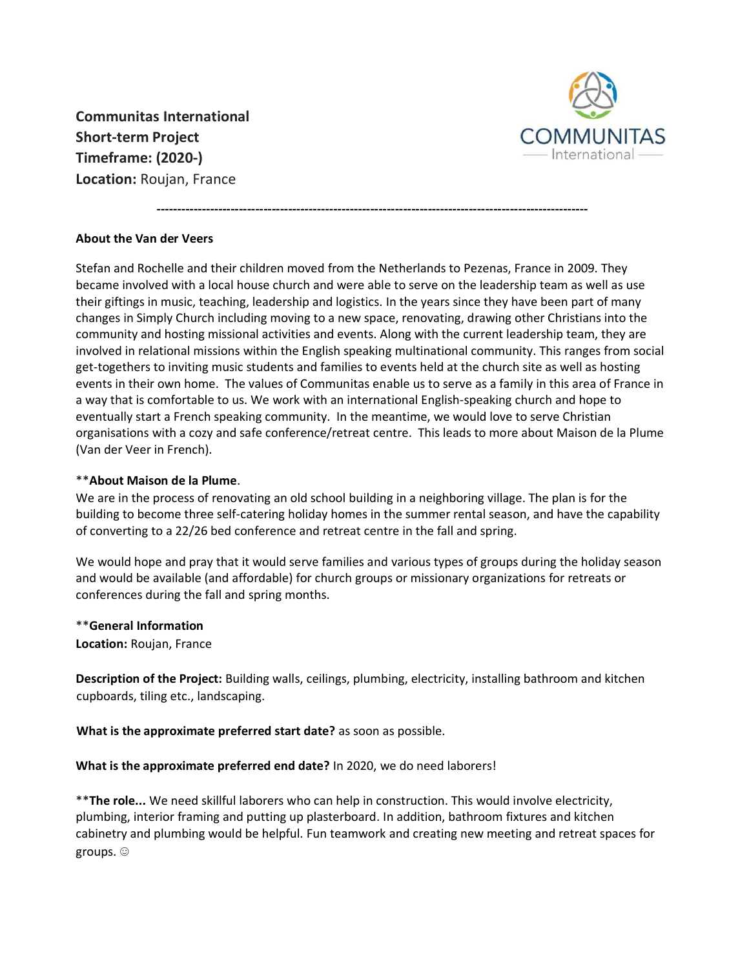**Communitas International Short-term Project Timeframe: (2020-) Location:** Roujan, France



## **About the Van der Veers**

Stefan and Rochelle and their children moved from the Netherlands to Pezenas, France in 2009. They became involved with a local house church and were able to serve on the leadership team as well as use their giftings in music, teaching, leadership and logistics. In the years since they have been part of many changes in Simply Church including moving to a new space, renovating, drawing other Christians into the community and hosting missional activities and events. Along with the current leadership team, they are involved in relational missions within the English speaking multinational community. This ranges from social get-togethers to inviting music students and families to events held at the church site as well as hosting events in their own home. The values of Communitas enable us to serve as a family in this area of France in a way that is comfortable to us. We work with an international English-speaking church and hope to eventually start a French speaking community. In the meantime, we would love to serve Christian organisations with a cozy and safe conference/retreat centre. This leads to more about Maison de la Plume (Van der Veer in French).

**---------------------------------------------------------------------------------------------------------**

## \*\***About Maison de la Plume**.

We are in the process of renovating an old school building in a neighboring village. The plan is for the building to become three self-catering holiday homes in the summer rental season, and have the capability of converting to a 22/26 bed conference and retreat centre in the fall and spring.

We would hope and pray that it would serve families and various types of groups during the holiday season and would be available (and affordable) for church groups or missionary organizations for retreats or conferences during the fall and spring months.

## \*\***General Information**

**Location:** Roujan, France

**Description of the Project:** Building walls, ceilings, plumbing, electricity, installing bathroom and kitchen cupboards, tiling etc., landscaping.

**What is the approximate preferred start date?** as soon as possible.

**What is the approximate preferred end date?** In 2020, we do need laborers!

\*\***The role...** We need skillful laborers who can help in construction. This would involve electricity, plumbing, interior framing and putting up plasterboard. In addition, bathroom fixtures and kitchen cabinetry and plumbing would be helpful. Fun teamwork and creating new meeting and retreat spaces for groups. ☺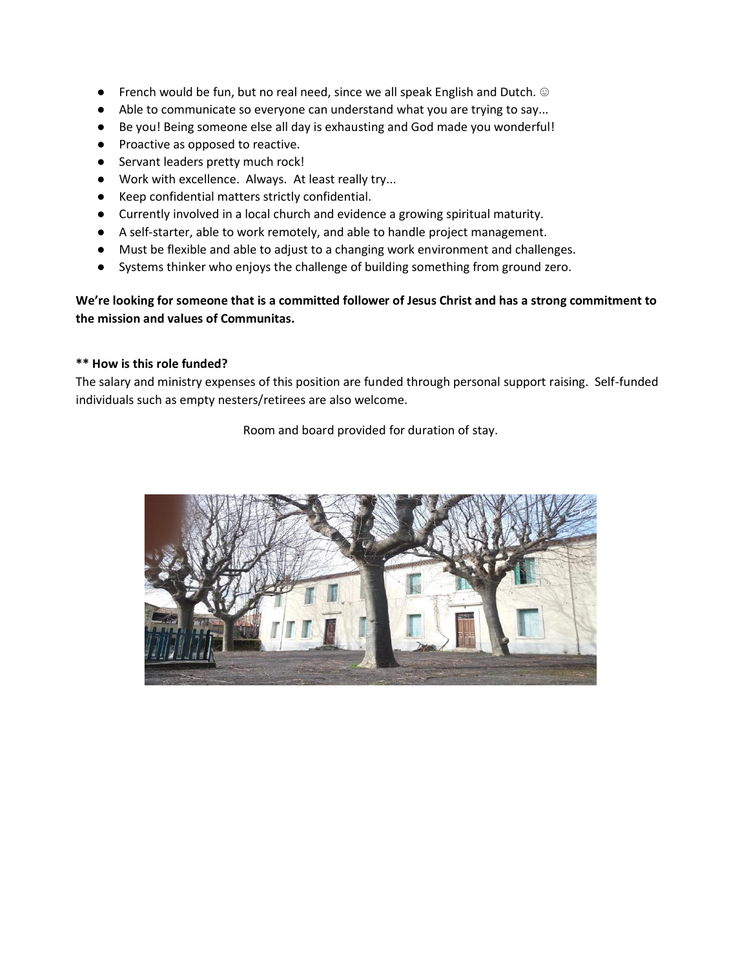- French would be fun, but no real need, since we all speak English and Dutch. ☺
- Able to communicate so everyone can understand what you are trying to say...
- Be you! Being someone else all day is exhausting and God made you wonderful!
- Proactive as opposed to reactive.
- Servant leaders pretty much rock!
- Work with excellence. Always. At least really try...
- Keep confidential matters strictly confidential.
- Currently involved in a local church and evidence a growing spiritual maturity.
- A self-starter, able to work remotely, and able to handle project management.
- Must be flexible and able to adjust to a changing work environment and challenges.
- Systems thinker who enjoys the challenge of building something from ground zero.

**We're looking for someone that is a committed follower of Jesus Christ and has a strong commitment to the mission and values of Communitas.**

## **\*\* How is this role funded?**

The salary and ministry expenses of this position are funded through personal support raising. Self-funded individuals such as empty nesters/retirees are also welcome.

Room and board provided for duration of stay.